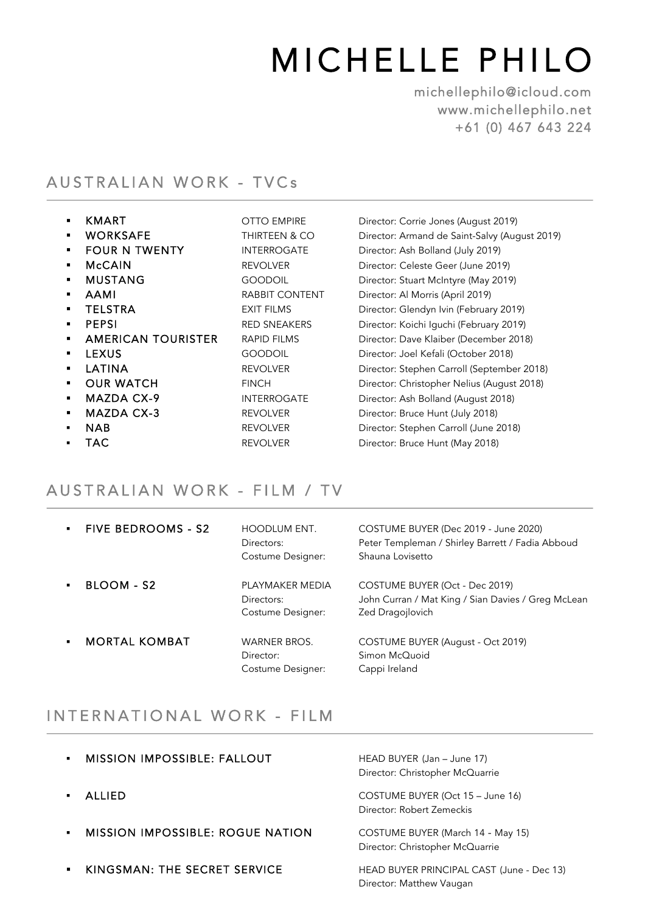# MICHELLE PHILO michellephilo@icloud.com

www.michellephilo.net +61 (0) 467 643 224

## AUSTRALIAN WORK - TVCs

 $\overline{a}$ 

1

 $\overline{a}$ 

| ٠              | KMART                     | <b>OTTO EMPIRE</b>       | Director: Corrie Jones (August 2019)          |
|----------------|---------------------------|--------------------------|-----------------------------------------------|
| $\blacksquare$ | <b>WORKSAFE</b>           | <b>THIRTEEN &amp; CO</b> | Director: Armand de Saint-Salvy (August 2019) |
| ٠              | <b>FOUR N TWENTY</b>      | <b>INTERROGATE</b>       | Director: Ash Bolland (July 2019)             |
| ٠              | <b>McCAIN</b>             | <b>REVOLVER</b>          | Director: Celeste Geer (June 2019)            |
| ٠              | <b>MUSTANG</b>            | <b>GOODOIL</b>           | Director: Stuart McIntyre (May 2019)          |
| ٠              | <b>AAMI</b>               | <b>RABBIT CONTENT</b>    | Director: Al Morris (April 2019)              |
| ٠              | <b>TELSTRA</b>            | <b>EXIT FILMS</b>        | Director: Glendyn Ivin (February 2019)        |
| ٠              | <b>PEPSI</b>              | <b>RED SNEAKERS</b>      | Director: Koichi Iguchi (February 2019)       |
| ٠              | <b>AMERICAN TOURISTER</b> | <b>RAPID FILMS</b>       | Director: Dave Klaiber (December 2018)        |
| ٠              | <b>LEXUS</b>              | <b>GOODOIL</b>           | Director: Joel Kefali (October 2018)          |
| ٠              | LATINA                    | <b>REVOLVER</b>          | Director: Stephen Carroll (September 2018)    |
| ٠              | <b>OUR WATCH</b>          | <b>FINCH</b>             | Director: Christopher Nelius (August 2018)    |
| ٠              | MAZDA CX-9                | <b>INTERROGATE</b>       | Director: Ash Bolland (August 2018)           |
| ٠              | <b>MAZDA CX-3</b>         | <b>REVOLVER</b>          | Director: Bruce Hunt (July 2018)              |
| $\blacksquare$ | <b>NAB</b>                | <b>REVOLVER</b>          | Director: Stephen Carroll (June 2018)         |
|                | TAC                       | <b>REVOLVER</b>          | Director: Bruce Hunt (May 2018)               |

### AUSTRALIAN WORK - FILM / TV

| <b>FIVE BEDROOMS - S2</b> | <b>HOODLUM ENT.</b><br>Directors:<br>Costume Designer: | COSTUME BUYER (Dec 2019 - June 2020)<br>Peter Templeman / Shirley Barrett / Fadia Abboud<br>Shauna Lovisetto |
|---------------------------|--------------------------------------------------------|--------------------------------------------------------------------------------------------------------------|
| BLOOM - S2                | PI AYMAKER MEDIA<br>Directors:<br>Costume Designer:    | COSTUME BUYER (Oct - Dec 2019)<br>John Curran / Mat King / Sian Davies / Greg McLean<br>Zed Dragojlovich     |
| <b>MORTAL KOMBAT</b>      | <b>WARNER BROS.</b><br>Director:<br>Costume Designer:  | COSTUME BUYER (August - Oct 2019)<br>Simon McQuoid<br>Cappi Ireland                                          |

## INTERNATIONAL WORK - FILM

| MISSION IMPOSSIBLE: FALLOUT             | HEAD BUYER (Jan - June 17)<br>Director: Christopher McQuarrie         |
|-----------------------------------------|-----------------------------------------------------------------------|
| <b>ALLIED</b>                           | COSTUME BUYER (Oct 15 – June 16)<br>Director: Robert Zemeckis         |
| <b>MISSION IMPOSSIBLE: ROGUE NATION</b> | COSTUME BUYER (March 14 - May 15)<br>Director: Christopher McQuarrie  |
| KINGSMAN: THE SECRET SERVICE            | HEAD BUYER PRINCIPAL CAST (June - Dec 13)<br>Director: Matthew Vaugan |